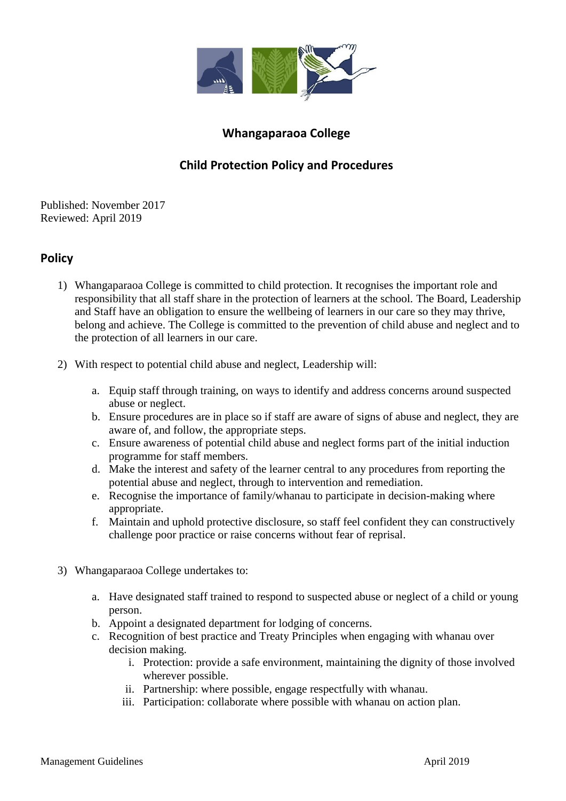

## **Whangaparaoa College**

## **Child Protection Policy and Procedures**

Published: November 2017 Reviewed: April 2019

## **Policy**

- 1) Whangaparaoa College is committed to child protection. It recognises the important role and responsibility that all staff share in the protection of learners at the school. The Board, Leadership and Staff have an obligation to ensure the wellbeing of learners in our care so they may thrive, belong and achieve. The College is committed to the prevention of child abuse and neglect and to the protection of all learners in our care.
- 2) With respect to potential child abuse and neglect, Leadership will:
	- a. Equip staff through training, on ways to identify and address concerns around suspected abuse or neglect.
	- b. Ensure procedures are in place so if staff are aware of signs of abuse and neglect, they are aware of, and follow, the appropriate steps.
	- c. Ensure awareness of potential child abuse and neglect forms part of the initial induction programme for staff members.
	- d. Make the interest and safety of the learner central to any procedures from reporting the potential abuse and neglect, through to intervention and remediation.
	- e. Recognise the importance of family/whanau to participate in decision-making where appropriate.
	- f. Maintain and uphold protective disclosure, so staff feel confident they can constructively challenge poor practice or raise concerns without fear of reprisal.
- 3) Whangaparaoa College undertakes to:
	- a. Have designated staff trained to respond to suspected abuse or neglect of a child or young person.
	- b. Appoint a designated department for lodging of concerns.
	- c. Recognition of best practice and Treaty Principles when engaging with whanau over decision making.
		- i. Protection: provide a safe environment, maintaining the dignity of those involved wherever possible.
		- ii. Partnership: where possible, engage respectfully with whanau.
		- iii. Participation: collaborate where possible with whanau on action plan.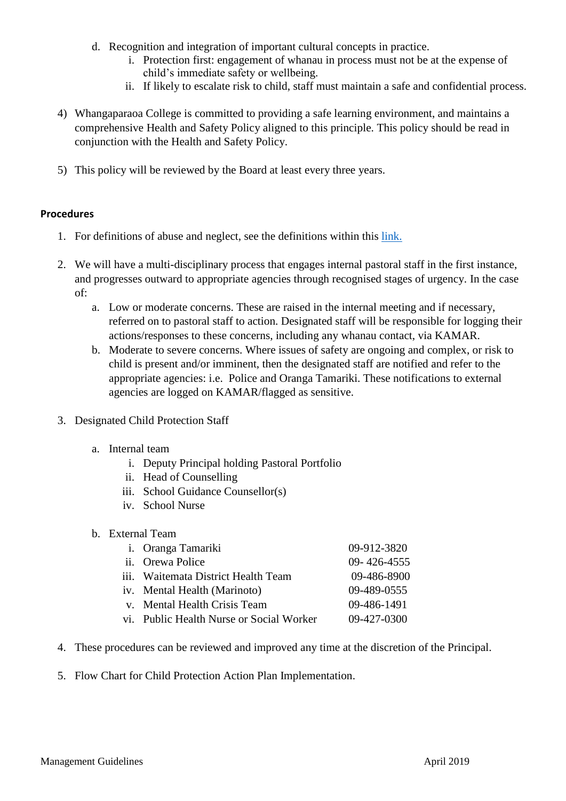- d. Recognition and integration of important cultural concepts in practice.
	- i. Protection first: engagement of whanau in process must not be at the expense of child's immediate safety or wellbeing.
	- ii. If likely to escalate risk to child, staff must maintain a safe and confidential process.
- 4) Whangaparaoa College is committed to providing a safe learning environment, and maintains a comprehensive Health and Safety Policy aligned to this principle. This policy should be read in conjunction with the Health and Safety Policy.
- 5) This policy will be reviewed by the Board at least every three years.

## **Procedures**

- 1. For definitions of abuse and neglect, see the definitions within this [link.](Child%20Protection%20Policy%20Definitions%20of%20Abuse%202019.pdf)
- 2. We will have a multi-disciplinary process that engages internal pastoral staff in the first instance, and progresses outward to appropriate agencies through recognised stages of urgency. In the case of:
	- a. Low or moderate concerns. These are raised in the internal meeting and if necessary, referred on to pastoral staff to action. Designated staff will be responsible for logging their actions/responses to these concerns, including any whanau contact, via KAMAR.
	- b. Moderate to severe concerns. Where issues of safety are ongoing and complex, or risk to child is present and/or imminent, then the designated staff are notified and refer to the appropriate agencies: i.e. Police and Oranga Tamariki. These notifications to external agencies are logged on KAMAR/flagged as sensitive.
- 3. Designated Child Protection Staff
	- a. Internal team
		- i. Deputy Principal holding Pastoral Portfolio
		- ii. Head of Counselling
		- iii. School Guidance Counsellor(s)
		- iv. School Nurse
	- b. External Team

| i. Oranga Tamariki                       | 09-912-3820       |
|------------------------------------------|-------------------|
| ii. Orewa Police                         | $09 - 426 - 4555$ |
| iii. Waitemata District Health Team      | 09-486-8900       |
| iv. Mental Health (Marinoto)             | 09-489-0555       |
| v. Mental Health Crisis Team             | 09-486-1491       |
| vi. Public Health Nurse or Social Worker | 09-427-0300       |
|                                          |                   |

- 4. These procedures can be reviewed and improved any time at the discretion of the Principal.
- 5. Flow Chart for Child Protection Action Plan Implementation.